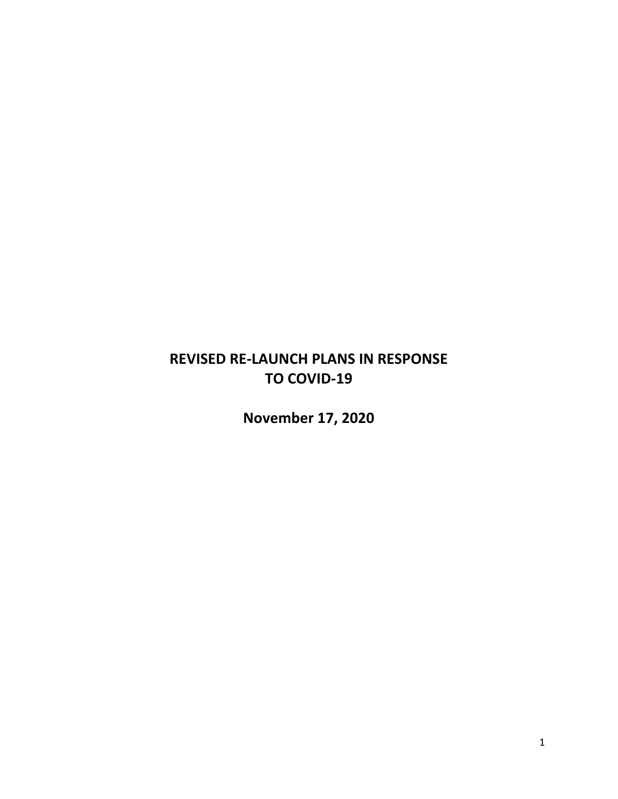# **REVISED RE-LAUNCH PLANS IN RESPONSE TO COVID-19**

**November 17, 2020**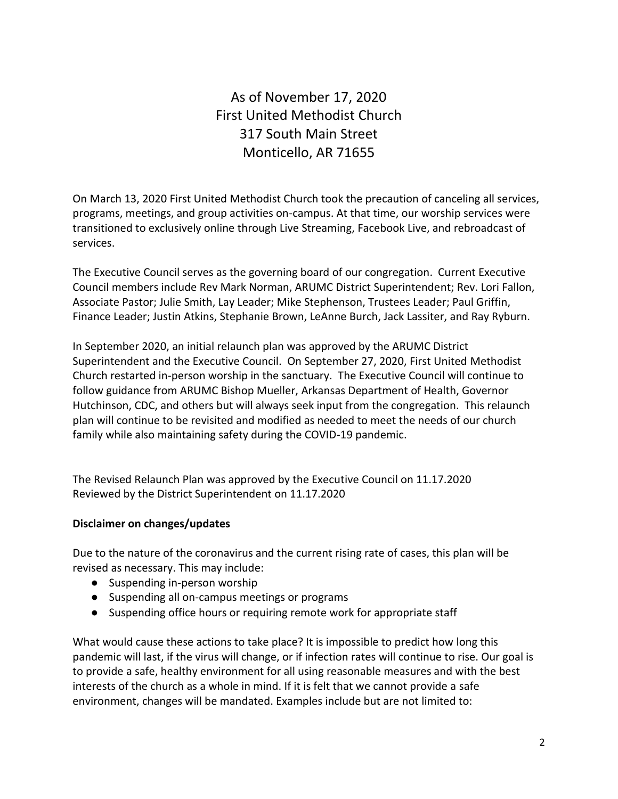As of November 17, 2020 First United Methodist Church 317 South Main Street Monticello, AR 71655

On March 13, 2020 First United Methodist Church took the precaution of canceling all services, programs, meetings, and group activities on-campus. At that time, our worship services were transitioned to exclusively online through Live Streaming, Facebook Live, and rebroadcast of services.

The Executive Council serves as the governing board of our congregation. Current Executive Council members include Rev Mark Norman, ARUMC District Superintendent; Rev. Lori Fallon, Associate Pastor; Julie Smith, Lay Leader; Mike Stephenson, Trustees Leader; Paul Griffin, Finance Leader; Justin Atkins, Stephanie Brown, LeAnne Burch, Jack Lassiter, and Ray Ryburn.

In September 2020, an initial relaunch plan was approved by the ARUMC District Superintendent and the Executive Council. On September 27, 2020, First United Methodist Church restarted in-person worship in the sanctuary. The Executive Council will continue to follow guidance from ARUMC Bishop Mueller, Arkansas Department of Health, Governor Hutchinson, CDC, and others but will always seek input from the congregation. This relaunch plan will continue to be revisited and modified as needed to meet the needs of our church family while also maintaining safety during the COVID-19 pandemic.

The Revised Relaunch Plan was approved by the Executive Council on 11.17.2020 Reviewed by the District Superintendent on 11.17.2020

# **Disclaimer on changes/updates**

Due to the nature of the coronavirus and the current rising rate of cases, this plan will be revised as necessary. This may include:

- Suspending in-person worship
- Suspending all on-campus meetings or programs
- Suspending office hours or requiring remote work for appropriate staff

What would cause these actions to take place? It is impossible to predict how long this pandemic will last, if the virus will change, or if infection rates will continue to rise. Our goal is to provide a safe, healthy environment for all using reasonable measures and with the best interests of the church as a whole in mind. If it is felt that we cannot provide a safe environment, changes will be mandated. Examples include but are not limited to: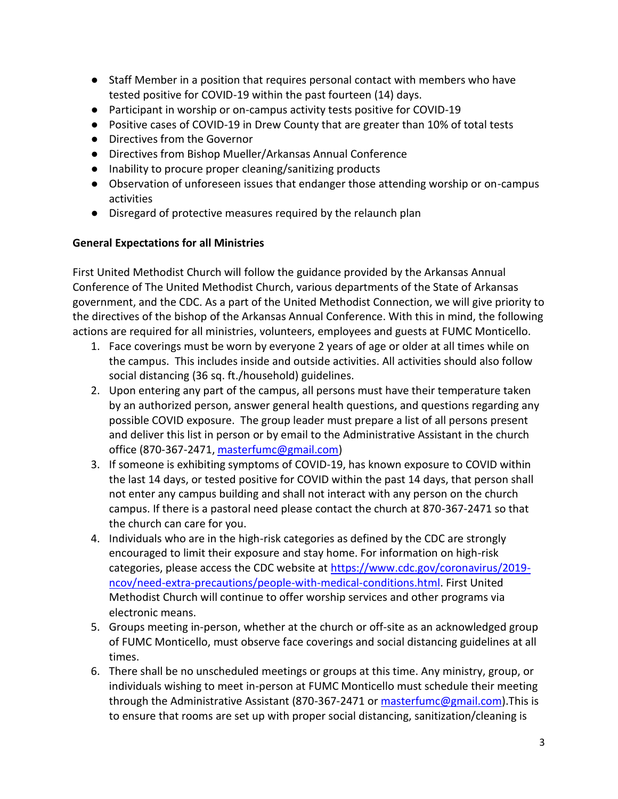- Staff Member in a position that requires personal contact with members who have tested positive for COVID-19 within the past fourteen (14) days.
- Participant in worship or on-campus activity tests positive for COVID-19
- Positive cases of COVID-19 in Drew County that are greater than 10% of total tests
- Directives from the Governor
- Directives from Bishop Mueller/Arkansas Annual Conference
- Inability to procure proper cleaning/sanitizing products
- Observation of unforeseen issues that endanger those attending worship or on-campus activities
- Disregard of protective measures required by the relaunch plan

# **General Expectations for all Ministries**

First United Methodist Church will follow the guidance provided by the Arkansas Annual Conference of The United Methodist Church, various departments of the State of Arkansas government, and the CDC. As a part of the United Methodist Connection, we will give priority to the directives of the bishop of the Arkansas Annual Conference. With this in mind, the following actions are required for all ministries, volunteers, employees and guests at FUMC Monticello.

- 1. Face coverings must be worn by everyone 2 years of age or older at all times while on the campus. This includes inside and outside activities. All activities should also follow social distancing (36 sq. ft./household) guidelines.
- 2. Upon entering any part of the campus, all persons must have their temperature taken by an authorized person, answer general health questions, and questions regarding any possible COVID exposure. The group leader must prepare a list of all persons present and deliver this list in person or by email to the Administrative Assistant in the church office (870-367-2471, [masterfumc@gmail.com\)](mailto:masterfumc@gmail.com)
- 3. If someone is exhibiting symptoms of COVID-19, has known exposure to COVID within the last 14 days, or tested positive for COVID within the past 14 days, that person shall not enter any campus building and shall not interact with any person on the church campus. If there is a pastoral need please contact the church at 870-367-2471 so that the church can care for you.
- 4. Individuals who are in the high-risk categories as defined by the CDC are strongly encouraged to limit their exposure and stay home. For information on high-risk categories, please access the CDC website at [https://www.cdc.gov/coronavirus/2019](https://www.cdc.gov/coronavirus/2019-ncov/need-extra-precautions/people-with-medical-conditions.html) [ncov/need-extra-precautions/people-with-medical-conditions.html.](https://www.cdc.gov/coronavirus/2019-ncov/need-extra-precautions/people-with-medical-conditions.html) First United Methodist Church will continue to offer worship services and other programs via electronic means.
- 5. Groups meeting in-person, whether at the church or off-site as an acknowledged group of FUMC Monticello, must observe face coverings and social distancing guidelines at all times.
- 6. There shall be no unscheduled meetings or groups at this time. Any ministry, group, or individuals wishing to meet in-person at FUMC Monticello must schedule their meeting through the Administrative Assistant (870-367-2471 or [masterfumc@gmail.com\)](mailto:masterfumc@gmail.com). This is to ensure that rooms are set up with proper social distancing, sanitization/cleaning is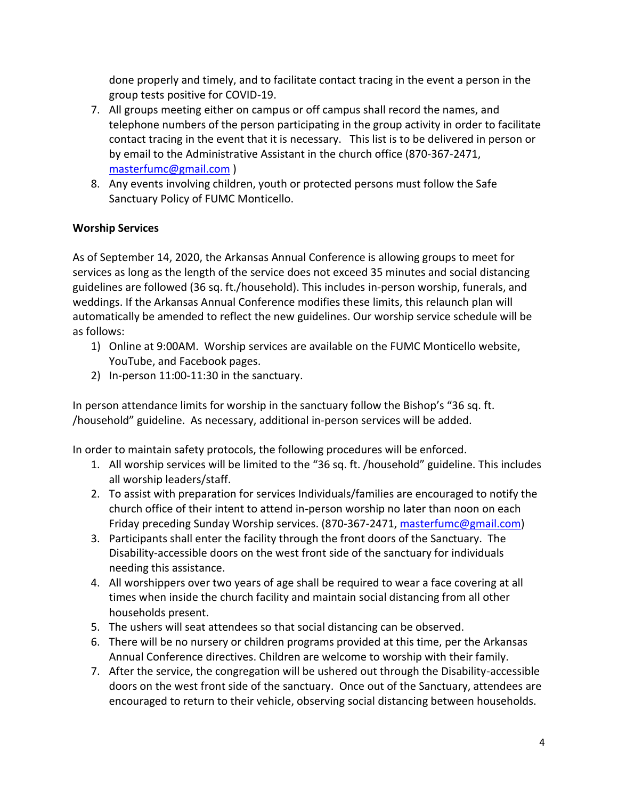done properly and timely, and to facilitate contact tracing in the event a person in the group tests positive for COVID-19.

- 7. All groups meeting either on campus or off campus shall record the names, and telephone numbers of the person participating in the group activity in order to facilitate contact tracing in the event that it is necessary. This list is to be delivered in person or by email to the Administrative Assistant in the church office (870-367-2471, [masterfumc@gmail.com](mailto:masterfumc@gmail.com) )
- 8. Any events involving children, youth or protected persons must follow the Safe Sanctuary Policy of FUMC Monticello.

# **Worship Services**

As of September 14, 2020, the Arkansas Annual Conference is allowing groups to meet for services as long as the length of the service does not exceed 35 minutes and social distancing guidelines are followed (36 sq. ft./household). This includes in-person worship, funerals, and weddings. If the Arkansas Annual Conference modifies these limits, this relaunch plan will automatically be amended to reflect the new guidelines. Our worship service schedule will be as follows:

- 1) Online at 9:00AM. Worship services are available on the FUMC Monticello website, YouTube, and Facebook pages.
- 2) In-person 11:00-11:30 in the sanctuary.

In person attendance limits for worship in the sanctuary follow the Bishop's "36 sq. ft. /household" guideline. As necessary, additional in-person services will be added.

In order to maintain safety protocols, the following procedures will be enforced.

- 1. All worship services will be limited to the "36 sq. ft. /household" guideline. This includes all worship leaders/staff.
- 2. To assist with preparation for services Individuals/families are encouraged to notify the church office of their intent to attend in-person worship no later than noon on each Friday preceding Sunday Worship services. (870-367-2471, [masterfumc@gmail.com\)](mailto:masterfumc@gmail.com)
- 3. Participants shall enter the facility through the front doors of the Sanctuary. The Disability-accessible doors on the west front side of the sanctuary for individuals needing this assistance.
- 4. All worshippers over two years of age shall be required to wear a face covering at all times when inside the church facility and maintain social distancing from all other households present.
- 5. The ushers will seat attendees so that social distancing can be observed.
- 6. There will be no nursery or children programs provided at this time, per the Arkansas Annual Conference directives. Children are welcome to worship with their family.
- 7. After the service, the congregation will be ushered out through the Disability-accessible doors on the west front side of the sanctuary. Once out of the Sanctuary, attendees are encouraged to return to their vehicle, observing social distancing between households.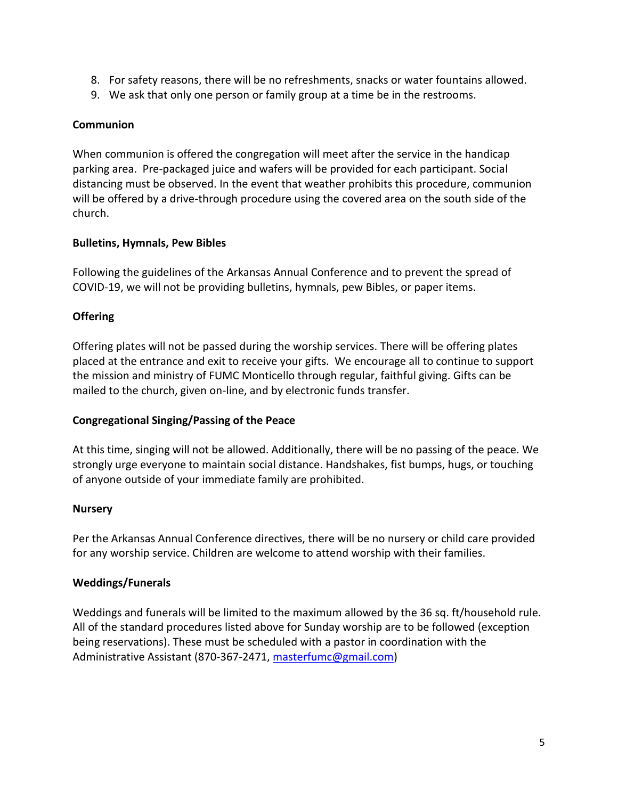- 8. For safety reasons, there will be no refreshments, snacks or water fountains allowed.
- 9. We ask that only one person or family group at a time be in the restrooms.

# **Communion**

When communion is offered the congregation will meet after the service in the handicap parking area. Pre-packaged juice and wafers will be provided for each participant. Social distancing must be observed. In the event that weather prohibits this procedure, communion will be offered by a drive-through procedure using the covered area on the south side of the church.

# **Bulletins, Hymnals, Pew Bibles**

Following the guidelines of the Arkansas Annual Conference and to prevent the spread of COVID-19, we will not be providing bulletins, hymnals, pew Bibles, or paper items.

# **Offering**

Offering plates will not be passed during the worship services. There will be offering plates placed at the entrance and exit to receive your gifts. We encourage all to continue to support the mission and ministry of FUMC Monticello through regular, faithful giving. Gifts can be mailed to the church, given on-line, and by electronic funds transfer.

# **Congregational Singing/Passing of the Peace**

At this time, singing will not be allowed. Additionally, there will be no passing of the peace. We strongly urge everyone to maintain social distance. Handshakes, fist bumps, hugs, or touching of anyone outside of your immediate family are prohibited.

# **Nursery**

Per the Arkansas Annual Conference directives, there will be no nursery or child care provided for any worship service. Children are welcome to attend worship with their families.

# **Weddings/Funerals**

Weddings and funerals will be limited to the maximum allowed by the 36 sq. ft/household rule. All of the standard procedures listed above for Sunday worship are to be followed (exception being reservations). These must be scheduled with a pastor in coordination with the Administrative Assistant (870-367-2471, [masterfumc@gmail.com\)](mailto:masterfumc@gmail.com)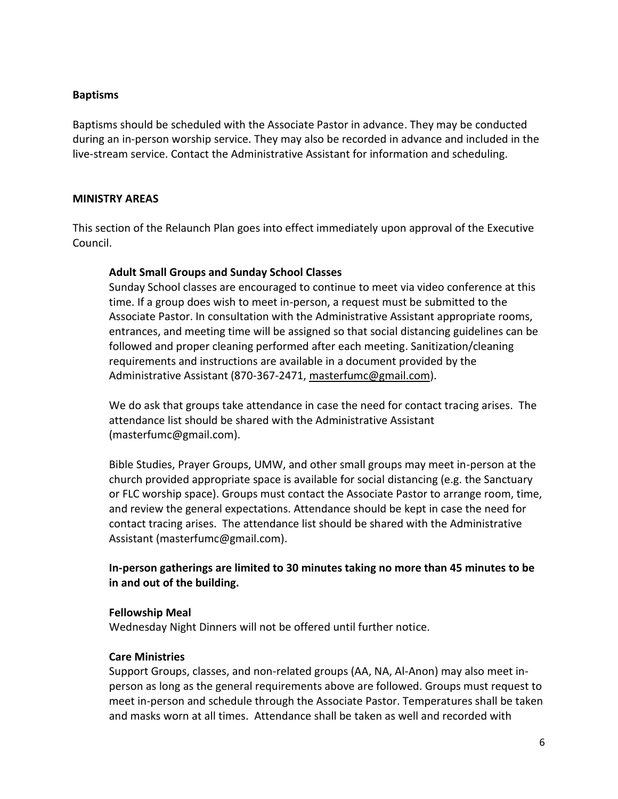### **Baptisms**

Baptisms should be scheduled with the Associate Pastor in advance. They may be conducted during an in-person worship service. They may also be recorded in advance and included in the live-stream service. Contact the Administrative Assistant for information and scheduling.

### **MINISTRY AREAS**

This section of the Relaunch Plan goes into effect immediately upon approval of the Executive Council.

### **Adult Small Groups and Sunday School Classes**

Sunday School classes are encouraged to continue to meet via video conference at this time. If a group does wish to meet in-person, a request must be submitted to the Associate Pastor. In consultation with the Administrative Assistant appropriate rooms, entrances, and meeting time will be assigned so that social distancing guidelines can be followed and proper cleaning performed after each meeting. Sanitization/cleaning requirements and instructions are available in a document provided by the Administrative Assistant (870-367-2471, [masterfumc@gmail.com\)](mailto:masterfumc@gmail.com).

We do ask that groups take attendance in case the need for contact tracing arises. The attendance list should be shared with the Administrative Assistant (masterfumc@gmail.com).

Bible Studies, Prayer Groups, UMW, and other small groups may meet in-person at the church provided appropriate space is available for social distancing (e.g. the Sanctuary or FLC worship space). Groups must contact the Associate Pastor to arrange room, time, and review the general expectations. Attendance should be kept in case the need for contact tracing arises. The attendance list should be shared with the Administrative Assistant (masterfumc@gmail.com).

# **In-person gatherings are limited to 30 minutes taking no more than 45 minutes to be in and out of the building.**

### **Fellowship Meal**

Wednesday Night Dinners will not be offered until further notice.

### **Care Ministries**

Support Groups, classes, and non-related groups (AA, NA, Al-Anon) may also meet inperson as long as the general requirements above are followed. Groups must request to meet in-person and schedule through the Associate Pastor. Temperatures shall be taken and masks worn at all times. Attendance shall be taken as well and recorded with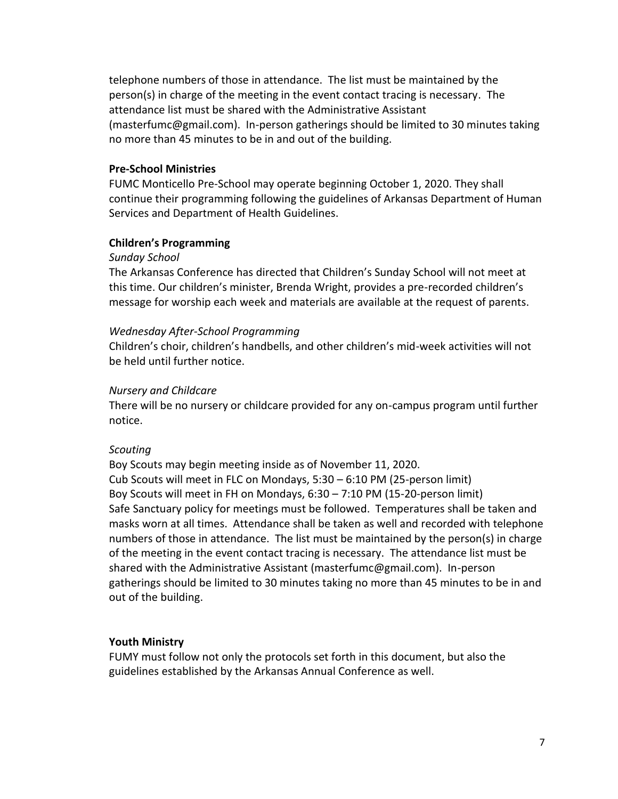telephone numbers of those in attendance. The list must be maintained by the person(s) in charge of the meeting in the event contact tracing is necessary. The attendance list must be shared with the Administrative Assistant (masterfumc@gmail.com). In-person gatherings should be limited to 30 minutes taking no more than 45 minutes to be in and out of the building.

### **Pre-School Ministries**

FUMC Monticello Pre-School may operate beginning October 1, 2020. They shall continue their programming following the guidelines of Arkansas Department of Human Services and Department of Health Guidelines.

#### **Children's Programming**

#### *Sunday School*

The Arkansas Conference has directed that Children's Sunday School will not meet at this time. Our children's minister, Brenda Wright, provides a pre-recorded children's message for worship each week and materials are available at the request of parents.

#### *Wednesday After-School Programming*

Children's choir, children's handbells, and other children's mid-week activities will not be held until further notice.

### *Nursery and Childcare*

There will be no nursery or childcare provided for any on-campus program until further notice.

### *Scouting*

Boy Scouts may begin meeting inside as of November 11, 2020. Cub Scouts will meet in FLC on Mondays, 5:30 – 6:10 PM (25-person limit) Boy Scouts will meet in FH on Mondays, 6:30 – 7:10 PM (15-20-person limit) Safe Sanctuary policy for meetings must be followed. Temperatures shall be taken and masks worn at all times. Attendance shall be taken as well and recorded with telephone numbers of those in attendance. The list must be maintained by the person(s) in charge of the meeting in the event contact tracing is necessary. The attendance list must be shared with the Administrative Assistant (masterfumc@gmail.com). In-person gatherings should be limited to 30 minutes taking no more than 45 minutes to be in and out of the building.

#### **Youth Ministry**

FUMY must follow not only the protocols set forth in this document, but also the guidelines established by the Arkansas Annual Conference as well.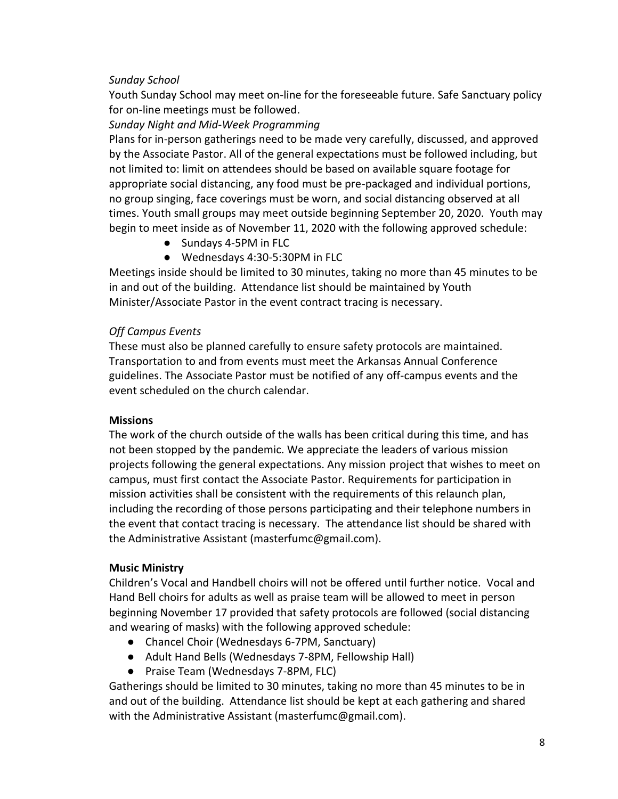# *Sunday School*

Youth Sunday School may meet on-line for the foreseeable future. Safe Sanctuary policy for on-line meetings must be followed.

# *Sunday Night and Mid-Week Programming*

Plans for in-person gatherings need to be made very carefully, discussed, and approved by the Associate Pastor. All of the general expectations must be followed including, but not limited to: limit on attendees should be based on available square footage for appropriate social distancing, any food must be pre-packaged and individual portions, no group singing, face coverings must be worn, and social distancing observed at all times. Youth small groups may meet outside beginning September 20, 2020. Youth may begin to meet inside as of November 11, 2020 with the following approved schedule:

- Sundays 4-5PM in FLC
- Wednesdays 4:30-5:30PM in FLC

Meetings inside should be limited to 30 minutes, taking no more than 45 minutes to be in and out of the building. Attendance list should be maintained by Youth Minister/Associate Pastor in the event contract tracing is necessary.

# *Off Campus Events*

These must also be planned carefully to ensure safety protocols are maintained. Transportation to and from events must meet the Arkansas Annual Conference guidelines. The Associate Pastor must be notified of any off-campus events and the event scheduled on the church calendar.

### **Missions**

The work of the church outside of the walls has been critical during this time, and has not been stopped by the pandemic. We appreciate the leaders of various mission projects following the general expectations. Any mission project that wishes to meet on campus, must first contact the Associate Pastor. Requirements for participation in mission activities shall be consistent with the requirements of this relaunch plan, including the recording of those persons participating and their telephone numbers in the event that contact tracing is necessary. The attendance list should be shared with the Administrative Assistant (masterfumc@gmail.com).

### **Music Ministry**

Children's Vocal and Handbell choirs will not be offered until further notice. Vocal and Hand Bell choirs for adults as well as praise team will be allowed to meet in person beginning November 17 provided that safety protocols are followed (social distancing and wearing of masks) with the following approved schedule:

- Chancel Choir (Wednesdays 6-7PM, Sanctuary)
- Adult Hand Bells (Wednesdays 7-8PM, Fellowship Hall)
- Praise Team (Wednesdays 7-8PM, FLC)

Gatherings should be limited to 30 minutes, taking no more than 45 minutes to be in and out of the building. Attendance list should be kept at each gathering and shared with the Administrative Assistant (masterfumc@gmail.com).